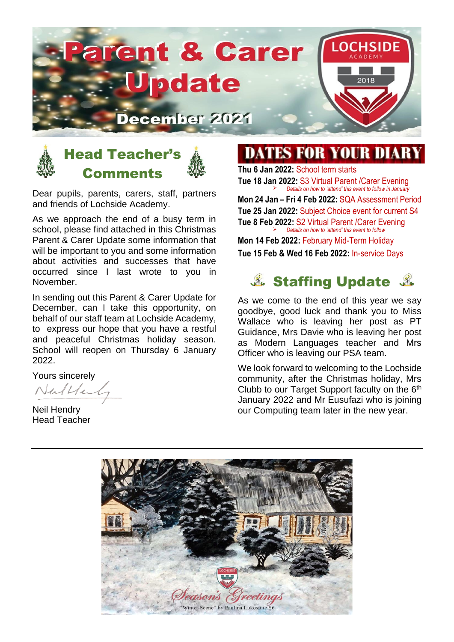# **arent & Carer** LOCH pdate ecember 2021



#### Head Teacher's **Comments**

Dear pupils, parents, carers, staff, partners and friends of Lochside Academy.

As we approach the end of a busy term in school, please find attached in this Christmas Parent & Carer Update some information that will be important to you and some information about activities and successes that have occurred since I last wrote to you in November.

In sending out this Parent & Carer Update for December, can I take this opportunity, on behalf of our staff team at Lochside Academy, to express our hope that you have a restful and peaceful Christmas holiday season. School will reopen on Thursday 6 January 2022.

Yours sincerely  $NuH1$ 

Neil Hendry Head Teacher

# **DATES FOR YOUR DIARY**

**Thu 6 Jan 2022:** School term starts **Tue 18 Jan 2022:** S3 Virtual Parent /Carer Evening ➢ *Details on how to 'attend' this event to follow in January*  **Mon 24 Jan – Fri 4 Feb 2022:** SQA Assessment Period **Tue 25 Jan 2022:** Subject Choice event for current S4 **Tue 8 Feb 2022:** S2 Virtual Parent /Carer Evening ➢ *Details on how to 'attend' this event to follow*

**Mon 14 Feb 2022:** February Mid-Term Holiday **Tue 15 Feb & Wed 16 Feb 2022:** In-service Days

# **& Staffing Update &**

As we come to the end of this year we say goodbye, good luck and thank you to Miss Wallace who is leaving her post as PT Guidance, Mrs Davie who is leaving her post as Modern Languages teacher and Mrs Officer who is leaving our PSA team.

We look forward to welcoming to the Lochside community, after the Christmas holiday, Mrs Clubb to our Target Support faculty on the 6th January 2022 and Mr Eusufazi who is joining our Computing team later in the new year.